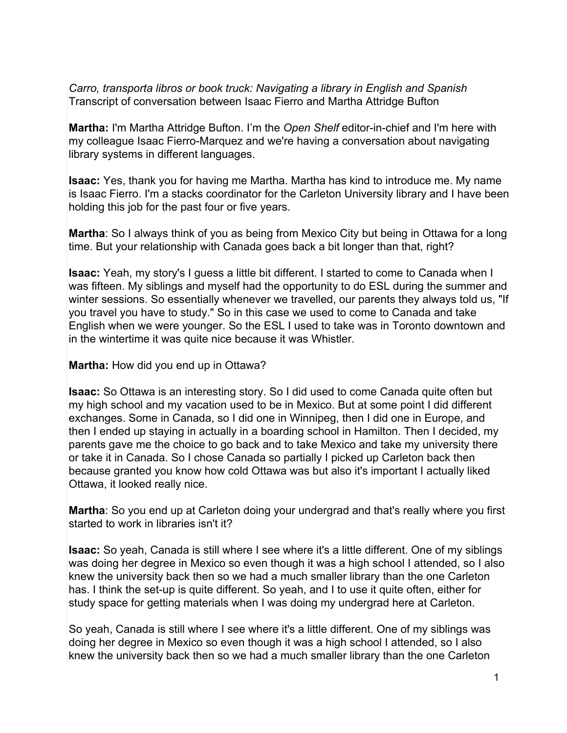*Carro, transporta libros or book truck: Navigating a library in English and Spanish* Transcript of conversation between Isaac Fierro and Martha Attridge Bufton

**Martha:** I'm Martha Attridge Bufton. I'm the *Open Shelf* editor-in-chief and I'm here with my colleague Isaac Fierro-Marquez and we're having a conversation about navigating library systems in different languages.

**Isaac:** Yes, thank you for having me Martha. Martha has kind to introduce me. My name is Isaac Fierro. I'm a stacks coordinator for the Carleton University library and I have been holding this job for the past four or five years.

**Martha**: So I always think of you as being from Mexico City but being in Ottawa for a long time. But your relationship with Canada goes back a bit longer than that, right?

**Isaac:** Yeah, my story's I guess a little bit different. I started to come to Canada when I was fifteen. My siblings and myself had the opportunity to do ESL during the summer and winter sessions. So essentially whenever we travelled, our parents they always told us, "If you travel you have to study." So in this case we used to come to Canada and take English when we were younger. So the ESL I used to take was in Toronto downtown and in the wintertime it was quite nice because it was Whistler.

**Martha:** How did you end up in Ottawa?

**Isaac:** So Ottawa is an interesting story. So I did used to come Canada quite often but my high school and my vacation used to be in Mexico. But at some point I did different exchanges. Some in Canada, so I did one in Winnipeg, then I did one in Europe, and then I ended up staying in actually in a boarding school in Hamilton. Then I decided, my parents gave me the choice to go back and to take Mexico and take my university there or take it in Canada. So I chose Canada so partially I picked up Carleton back then because granted you know how cold Ottawa was but also it's important I actually liked Ottawa, it looked really nice.

**Martha**: So you end up at Carleton doing your undergrad and that's really where you first started to work in libraries isn't it?

**Isaac:** So yeah, Canada is still where I see where it's a little different. One of my siblings was doing her degree in Mexico so even though it was a high school I attended, so I also knew the university back then so we had a much smaller library than the one Carleton has. I think the set-up is quite different. So yeah, and I to use it quite often, either for study space for getting materials when I was doing my undergrad here at Carleton.

So yeah, Canada is still where I see where it's a little different. One of my siblings was doing her degree in Mexico so even though it was a high school I attended, so I also knew the university back then so we had a much smaller library than the one Carleton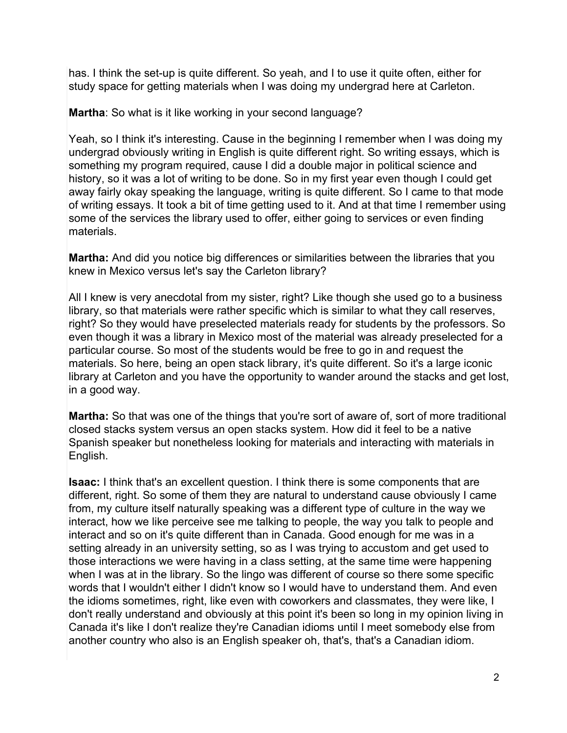has. I think the set-up is quite different. So yeah, and I to use it quite often, either for study space for getting materials when I was doing my undergrad here at Carleton.

**Martha**: So what is it like working in your second language?

Yeah, so I think it's interesting. Cause in the beginning I remember when I was doing my undergrad obviously writing in English is quite different right. So writing essays, which is something my program required, cause I did a double major in political science and history, so it was a lot of writing to be done. So in my first year even though I could get away fairly okay speaking the language, writing is quite different. So I came to that mode of writing essays. It took a bit of time getting used to it. And at that time I remember using some of the services the library used to offer, either going to services or even finding materials.

**Martha:** And did you notice big differences or similarities between the libraries that you knew in Mexico versus let's say the Carleton library?

All I knew is very anecdotal from my sister, right? Like though she used go to a business library, so that materials were rather specific which is similar to what they call reserves, right? So they would have preselected materials ready for students by the professors. So even though it was a library in Mexico most of the material was already preselected for a particular course. So most of the students would be free to go in and request the materials. So here, being an open stack library, it's quite different. So it's a large iconic library at Carleton and you have the opportunity to wander around the stacks and get lost, in a good way.

**Martha:** So that was one of the things that you're sort of aware of, sort of more traditional closed stacks system versus an open stacks system. How did it feel to be a native Spanish speaker but nonetheless looking for materials and interacting with materials in English.

**Isaac:** I think that's an excellent question. I think there is some components that are different, right. So some of them they are natural to understand cause obviously I came from, my culture itself naturally speaking was a different type of culture in the way we interact, how we like perceive see me talking to people, the way you talk to people and interact and so on it's quite different than in Canada. Good enough for me was in a setting already in an university setting, so as I was trying to accustom and get used to those interactions we were having in a class setting, at the same time were happening when I was at in the library. So the lingo was different of course so there some specific words that I wouldn't either I didn't know so I would have to understand them. And even the idioms sometimes, right, like even with coworkers and classmates, they were like, I don't really understand and obviously at this point it's been so long in my opinion living in Canada it's like I don't realize they're Canadian idioms until I meet somebody else from another country who also is an English speaker oh, that's, that's a Canadian idiom.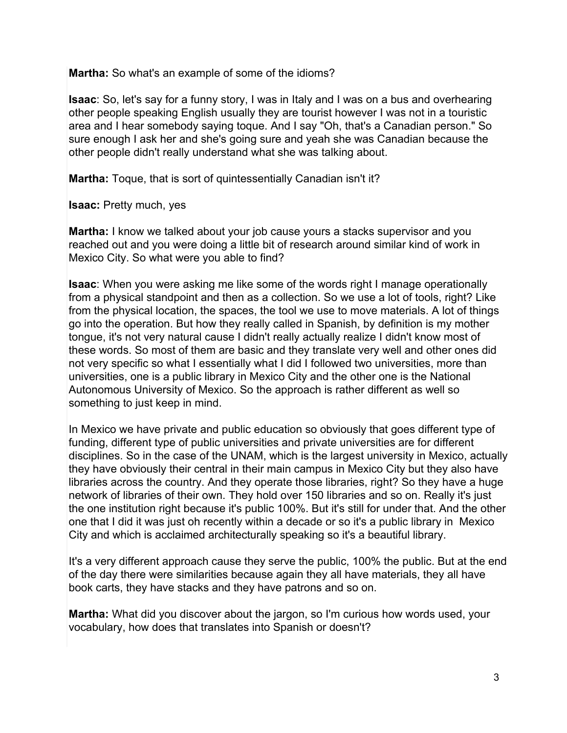**Martha:** So what's an example of some of the idioms?

**Isaac**: So, let's say for a funny story, I was in Italy and I was on a bus and overhearing other people speaking English usually they are tourist however I was not in a touristic area and I hear somebody saying toque. And I say "Oh, that's a Canadian person." So sure enough I ask her and she's going sure and yeah she was Canadian because the other people didn't really understand what she was talking about.

**Martha:** Toque, that is sort of quintessentially Canadian isn't it?

**Isaac:** Pretty much, yes

**Martha:** I know we talked about your job cause yours a stacks supervisor and you reached out and you were doing a little bit of research around similar kind of work in Mexico City. So what were you able to find?

**Isaac**: When you were asking me like some of the words right I manage operationally from a physical standpoint and then as a collection. So we use a lot of tools, right? Like from the physical location, the spaces, the tool we use to move materials. A lot of things go into the operation. But how they really called in Spanish, by definition is my mother tongue, it's not very natural cause I didn't really actually realize I didn't know most of these words. So most of them are basic and they translate very well and other ones did not very specific so what I essentially what I did I followed two universities, more than universities, one is a public library in Mexico City and the other one is the National Autonomous University of Mexico. So the approach is rather different as well so something to just keep in mind.

In Mexico we have private and public education so obviously that goes different type of funding, different type of public universities and private universities are for different disciplines. So in the case of the UNAM, which is the largest university in Mexico, actually they have obviously their central in their main campus in Mexico City but they also have libraries across the country. And they operate those libraries, right? So they have a huge network of libraries of their own. They hold over 150 libraries and so on. Really it's just the one institution right because it's public 100%. But it's still for under that. And the other one that I did it was just oh recently within a decade or so it's a public library in Mexico City and which is acclaimed architecturally speaking so it's a beautiful library.

It's a very different approach cause they serve the public, 100% the public. But at the end of the day there were similarities because again they all have materials, they all have book carts, they have stacks and they have patrons and so on.

**Martha:** What did you discover about the jargon, so I'm curious how words used, your vocabulary, how does that translates into Spanish or doesn't?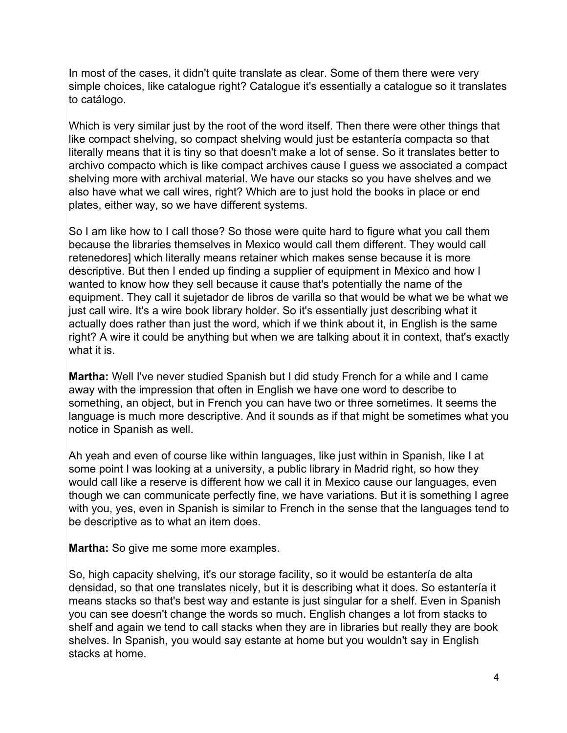In most of the cases, it didn't quite translate as clear. Some of them there were very simple choices, like catalogue right? Catalogue it's essentially a catalogue so it translates to catálogo.

Which is very similar just by the root of the word itself. Then there were other things that like compact shelving, so compact shelving would just be estantería compacta so that literally means that it is tiny so that doesn't make a lot of sense. So it translates better to archivo compacto which is like compact archives cause I guess we associated a compact shelving more with archival material. We have our stacks so you have shelves and we also have what we call wires, right? Which are to just hold the books in place or end plates, either way, so we have different systems.

So I am like how to I call those? So those were quite hard to figure what you call them because the libraries themselves in Mexico would call them different. They would call retenedores] which literally means retainer which makes sense because it is more descriptive. But then I ended up finding a supplier of equipment in Mexico and how I wanted to know how they sell because it cause that's potentially the name of the equipment. They call it sujetador de libros de varilla so that would be what we be what we just call wire. It's a wire book library holder. So it's essentially just describing what it actually does rather than just the word, which if we think about it, in English is the same right? A wire it could be anything but when we are talking about it in context, that's exactly what it is.

**Martha:** Well I've never studied Spanish but I did study French for a while and I came away with the impression that often in English we have one word to describe to something, an object, but in French you can have two or three sometimes. It seems the language is much more descriptive. And it sounds as if that might be sometimes what you notice in Spanish as well.

Ah yeah and even of course like within languages, like just within in Spanish, like I at some point I was looking at a university, a public library in Madrid right, so how they would call like a reserve is different how we call it in Mexico cause our languages, even though we can communicate perfectly fine, we have variations. But it is something I agree with you, yes, even in Spanish is similar to French in the sense that the languages tend to be descriptive as to what an item does.

**Martha:** So give me some more examples.

So, high capacity shelving, it's our storage facility, so it would be estantería de alta densidad, so that one translates nicely, but it is describing what it does. So estantería it means stacks so that's best way and estante is just singular for a shelf. Even in Spanish you can see doesn't change the words so much. English changes a lot from stacks to shelf and again we tend to call stacks when they are in libraries but really they are book shelves. In Spanish, you would say estante at home but you wouldn't say in English stacks at home.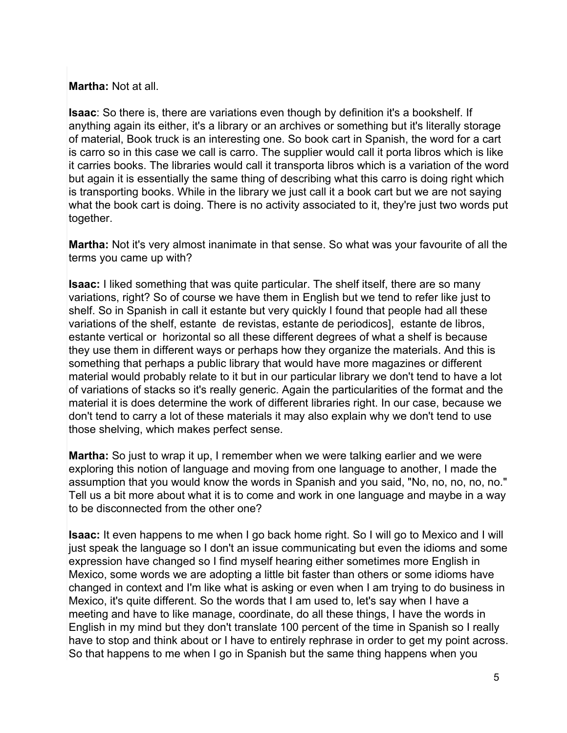## **Martha:** Not at all.

**Isaac**: So there is, there are variations even though by definition it's a bookshelf. If anything again its either, it's a library or an archives or something but it's literally storage of material, Book truck is an interesting one. So book cart in Spanish, the word for a cart is carro so in this case we call is carro. The supplier would call it porta libros which is like it carries books. The libraries would call it transporta libros which is a variation of the word but again it is essentially the same thing of describing what this carro is doing right which is transporting books. While in the library we just call it a book cart but we are not saying what the book cart is doing. There is no activity associated to it, they're just two words put together.

**Martha:** Not it's very almost inanimate in that sense. So what was your favourite of all the terms you came up with?

**Isaac:** I liked something that was quite particular. The shelf itself, there are so many variations, right? So of course we have them in English but we tend to refer like just to shelf. So in Spanish in call it estante but very quickly I found that people had all these variations of the shelf, estante de revistas, estante de periodicos], estante de libros, estante vertical or horizontal so all these different degrees of what a shelf is because they use them in different ways or perhaps how they organize the materials. And this is something that perhaps a public library that would have more magazines or different material would probably relate to it but in our particular library we don't tend to have a lot of variations of stacks so it's really generic. Again the particularities of the format and the material it is does determine the work of different libraries right. In our case, because we don't tend to carry a lot of these materials it may also explain why we don't tend to use those shelving, which makes perfect sense.

**Martha:** So just to wrap it up, I remember when we were talking earlier and we were exploring this notion of language and moving from one language to another, I made the assumption that you would know the words in Spanish and you said, "No, no, no, no, no." Tell us a bit more about what it is to come and work in one language and maybe in a way to be disconnected from the other one?

**Isaac:** It even happens to me when I go back home right. So I will go to Mexico and I will just speak the language so I don't an issue communicating but even the idioms and some expression have changed so I find myself hearing either sometimes more English in Mexico, some words we are adopting a little bit faster than others or some idioms have changed in context and I'm like what is asking or even when I am trying to do business in Mexico, it's quite different. So the words that I am used to, let's say when I have a meeting and have to like manage, coordinate, do all these things, I have the words in English in my mind but they don't translate 100 percent of the time in Spanish so I really have to stop and think about or I have to entirely rephrase in order to get my point across. So that happens to me when I go in Spanish but the same thing happens when you